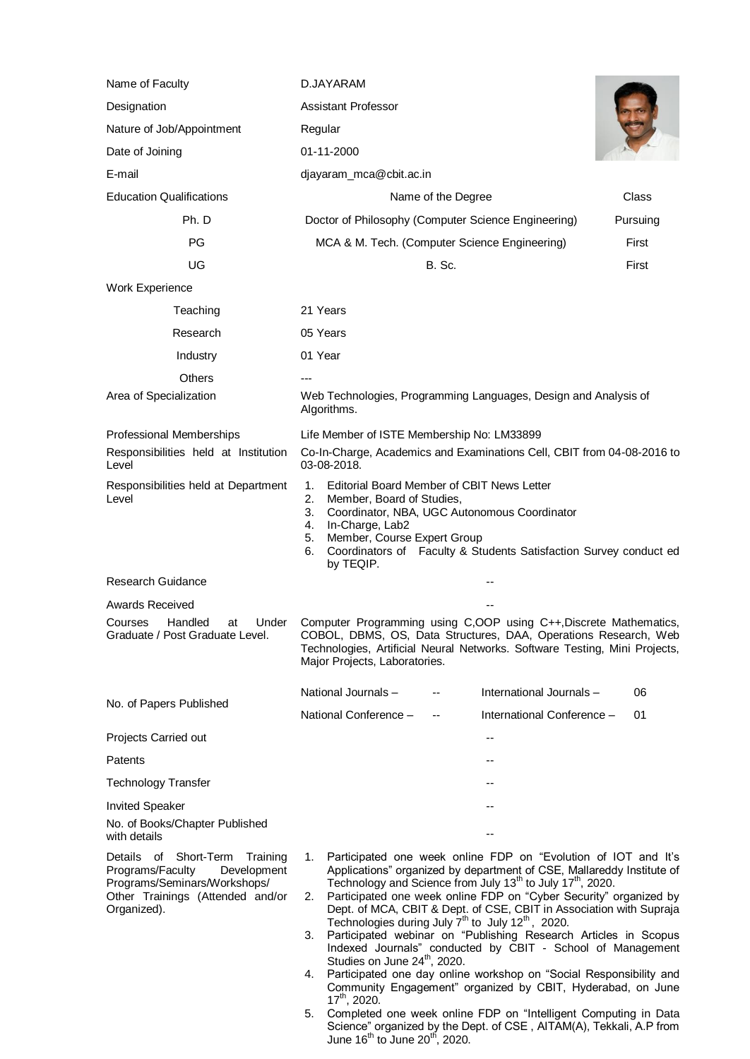| Name of Faculty                                                                                                                                            | D.JAYARAM                                                                                                                                                                                                                                                                                                                                                                                                                                                                                                                                                                                                                                                                                                                                                                                                                                                                                                                                                             |          |
|------------------------------------------------------------------------------------------------------------------------------------------------------------|-----------------------------------------------------------------------------------------------------------------------------------------------------------------------------------------------------------------------------------------------------------------------------------------------------------------------------------------------------------------------------------------------------------------------------------------------------------------------------------------------------------------------------------------------------------------------------------------------------------------------------------------------------------------------------------------------------------------------------------------------------------------------------------------------------------------------------------------------------------------------------------------------------------------------------------------------------------------------|----------|
| Designation                                                                                                                                                | <b>Assistant Professor</b><br>Regular                                                                                                                                                                                                                                                                                                                                                                                                                                                                                                                                                                                                                                                                                                                                                                                                                                                                                                                                 |          |
| Nature of Job/Appointment                                                                                                                                  |                                                                                                                                                                                                                                                                                                                                                                                                                                                                                                                                                                                                                                                                                                                                                                                                                                                                                                                                                                       |          |
| Date of Joining                                                                                                                                            | 01-11-2000                                                                                                                                                                                                                                                                                                                                                                                                                                                                                                                                                                                                                                                                                                                                                                                                                                                                                                                                                            |          |
| E-mail                                                                                                                                                     | djayaram_mca@cbit.ac.in                                                                                                                                                                                                                                                                                                                                                                                                                                                                                                                                                                                                                                                                                                                                                                                                                                                                                                                                               |          |
| <b>Education Qualifications</b>                                                                                                                            | Name of the Degree                                                                                                                                                                                                                                                                                                                                                                                                                                                                                                                                                                                                                                                                                                                                                                                                                                                                                                                                                    | Class    |
| Ph. D                                                                                                                                                      | Doctor of Philosophy (Computer Science Engineering)                                                                                                                                                                                                                                                                                                                                                                                                                                                                                                                                                                                                                                                                                                                                                                                                                                                                                                                   | Pursuing |
| PG                                                                                                                                                         | MCA & M. Tech. (Computer Science Engineering)                                                                                                                                                                                                                                                                                                                                                                                                                                                                                                                                                                                                                                                                                                                                                                                                                                                                                                                         | First    |
| UG                                                                                                                                                         | B. Sc.                                                                                                                                                                                                                                                                                                                                                                                                                                                                                                                                                                                                                                                                                                                                                                                                                                                                                                                                                                | First    |
| Work Experience                                                                                                                                            |                                                                                                                                                                                                                                                                                                                                                                                                                                                                                                                                                                                                                                                                                                                                                                                                                                                                                                                                                                       |          |
| Teaching                                                                                                                                                   | 21 Years                                                                                                                                                                                                                                                                                                                                                                                                                                                                                                                                                                                                                                                                                                                                                                                                                                                                                                                                                              |          |
| Research                                                                                                                                                   | 05 Years                                                                                                                                                                                                                                                                                                                                                                                                                                                                                                                                                                                                                                                                                                                                                                                                                                                                                                                                                              |          |
| Industry                                                                                                                                                   | 01 Year                                                                                                                                                                                                                                                                                                                                                                                                                                                                                                                                                                                                                                                                                                                                                                                                                                                                                                                                                               |          |
| <b>Others</b>                                                                                                                                              |                                                                                                                                                                                                                                                                                                                                                                                                                                                                                                                                                                                                                                                                                                                                                                                                                                                                                                                                                                       |          |
| Area of Specialization                                                                                                                                     | Web Technologies, Programming Languages, Design and Analysis of<br>Algorithms.                                                                                                                                                                                                                                                                                                                                                                                                                                                                                                                                                                                                                                                                                                                                                                                                                                                                                        |          |
| Professional Memberships                                                                                                                                   | Life Member of ISTE Membership No: LM33899                                                                                                                                                                                                                                                                                                                                                                                                                                                                                                                                                                                                                                                                                                                                                                                                                                                                                                                            |          |
| Responsibilities held at Institution<br>Level                                                                                                              | Co-In-Charge, Academics and Examinations Cell, CBIT from 04-08-2016 to<br>03-08-2018.                                                                                                                                                                                                                                                                                                                                                                                                                                                                                                                                                                                                                                                                                                                                                                                                                                                                                 |          |
| Responsibilities held at Department<br>Level                                                                                                               | 1.<br>Editorial Board Member of CBIT News Letter<br>2.<br>Member, Board of Studies,<br>Coordinator, NBA, UGC Autonomous Coordinator<br>3.<br>In-Charge, Lab2<br>4.<br>Member, Course Expert Group<br>5.<br>Coordinators of Faculty & Students Satisfaction Survey conduct ed<br>6.<br>by TEQIP.                                                                                                                                                                                                                                                                                                                                                                                                                                                                                                                                                                                                                                                                       |          |
| <b>Research Guidance</b>                                                                                                                                   |                                                                                                                                                                                                                                                                                                                                                                                                                                                                                                                                                                                                                                                                                                                                                                                                                                                                                                                                                                       |          |
| <b>Awards Received</b>                                                                                                                                     |                                                                                                                                                                                                                                                                                                                                                                                                                                                                                                                                                                                                                                                                                                                                                                                                                                                                                                                                                                       |          |
| Handled<br>Under<br>Courses<br>at<br>Graduate / Post Graduate Level.                                                                                       | Computer Programming using C,OOP using C++,Discrete Mathematics,<br>COBOL, DBMS, OS, Data Structures, DAA, Operations Research, Web<br>Technologies, Artificial Neural Networks. Software Testing, Mini Projects,<br>Major Projects, Laboratories.                                                                                                                                                                                                                                                                                                                                                                                                                                                                                                                                                                                                                                                                                                                    |          |
|                                                                                                                                                            | National Journals -<br>International Journals -                                                                                                                                                                                                                                                                                                                                                                                                                                                                                                                                                                                                                                                                                                                                                                                                                                                                                                                       | 06       |
| No. of Papers Published                                                                                                                                    | National Conference -<br>International Conference -                                                                                                                                                                                                                                                                                                                                                                                                                                                                                                                                                                                                                                                                                                                                                                                                                                                                                                                   | 01       |
| Projects Carried out                                                                                                                                       |                                                                                                                                                                                                                                                                                                                                                                                                                                                                                                                                                                                                                                                                                                                                                                                                                                                                                                                                                                       |          |
| Patents                                                                                                                                                    |                                                                                                                                                                                                                                                                                                                                                                                                                                                                                                                                                                                                                                                                                                                                                                                                                                                                                                                                                                       |          |
| <b>Technology Transfer</b>                                                                                                                                 |                                                                                                                                                                                                                                                                                                                                                                                                                                                                                                                                                                                                                                                                                                                                                                                                                                                                                                                                                                       |          |
| <b>Invited Speaker</b><br>No. of Books/Chapter Published<br>with details                                                                                   |                                                                                                                                                                                                                                                                                                                                                                                                                                                                                                                                                                                                                                                                                                                                                                                                                                                                                                                                                                       |          |
| Details<br>Short-Term Training<br>of<br>Programs/Faculty<br>Development<br>Programs/Seminars/Workshops/<br>Other Trainings (Attended and/or<br>Organized). | Participated one week online FDP on "Evolution of IOT and It's<br>1.<br>Applications" organized by department of CSE, Mallareddy Institute of<br>Technology and Science from July 13 <sup>th</sup> to July 17 <sup>th</sup> , 2020.<br>Participated one week online FDP on "Cyber Security" organized by<br>2.<br>Dept. of MCA, CBIT & Dept. of CSE, CBIT in Association with Supraja<br>Technologies during July 7 <sup>th</sup> to July 12 <sup>th</sup> , 2020.<br>Participated webinar on "Publishing Research Articles in Scopus<br>3.<br>Indexed Journals" conducted by CBIT - School of Management<br>Studies on June 24 <sup>th</sup> , 2020.<br>Participated one day online workshop on "Social Responsibility and<br>4.<br>Community Engagement" organized by CBIT, Hyderabad, on June<br>$17^{th}$ , 2020.<br>Completed one week online FDP on "Intelligent Computing in Data<br>5.<br>Science" organized by the Dept. of CSE, AITAM(A), Tekkali, A.P from |          |

June 16<sup>th</sup> to June 20<sup>th</sup>, 2020.